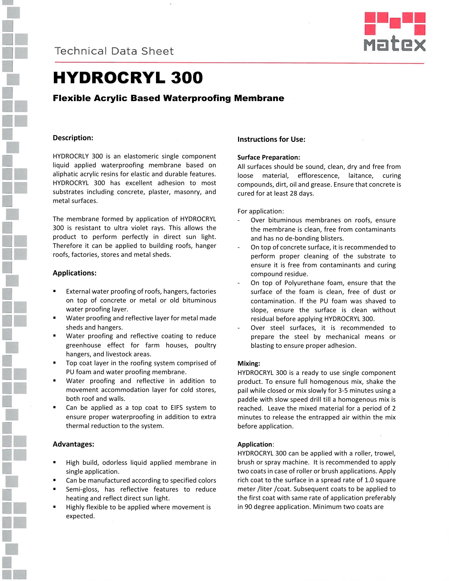



# HYDROCRYL 300

## Flexible Acrylic Based Waterproofing Membrane

### **Description:**

HYDROCRLY 300 is an elastomeric single component liquid applied waterproofing membrane based on aliphatic acrylic resins for elastic and durable features. HYDROCRYL 300 has excellent adhesion to most substrates including concrete, plaster, masonry, and metal surfaces.

The membrane formed by application of HYDROCRYL 300 is resistant to ultra violet rays. This allows the product to perform perfectly in direct sun light. Therefore it can be applied to building roofs, hanger roofs, factories, stores and metal sheds.

### **Applications:**

- External water proofing of roofs, hangers, factories on top of concrete or metal or old bituminous water proofing layer.
- Water proofing and reflective layer for metal made sheds and hangers.
- Water proofing and reflective coating to reduce greenhouse effect for farm houses, poultry hangers, and livestock areas.
- Top coat layer in the roofing system comprised of PU foam and water proofing membrane.
- Water proofing and reflective in addition to movement accommodation layer for cold stores, both roof and walls.
- Can be applied as a top coat to EIFS system to ensure proper waterproofing in addition to extra thermal reduction to the system.

### **Advantages:**

- High build, odorless liquid applied membrane in single application.
- Can be manufactured according to specified colors
- Semi-gloss, has reflective features to reduce heating and reflect direct sun light.
- Highly flexible to be applied where movement is expected.

### **Instructions for Use:**

### **Surface Preparation:**

All surfaces should be sound, clean, dry and free from loose material, efflorescence, laitance, curing compounds, dirt, oil and grease. Ensure that concrete is cured for at least 28 days.

For application:

- Over bituminous membranes on roofs, ensure the membrane is clean, free from contaminants and has no de-bonding blisters.
- On top of concrete surface, it is recommended to perform proper cleaning of the substrate to ensure it is free from contaminants and curing compound residue.
- On top of Polyurethane foam, ensure that the surface of the foam is clean, free of dust or contamination. If the PU foam was shaved to slope, ensure the surface is clean without residual before applying HYDROCRYL 300.
- Over steel surfaces, it is recommended to prepare the steel by mechanical means or blasting to ensure proper adhesion.

### **Mixing:**

HYDROCRYL 300 is a ready to use single component product. To ensure full homogenous mix, shake the pail while closed or mix slowly for 3-5 minutes using a paddle with slow speed drill till a homogenous mix is reached. Leave the mixed material for a period of 2 minutes to release the entrapped air within the mix before application.

### **Application**:

HYDROCRYL 300 can be applied with a roller, trowel, brush or spray machine. It is recommended to apply two coats in case of roller or brush applications. Apply rich coat to the surface in a spread rate of 1.0 square meter /liter /coat. Subsequent coats to be applied to the first coat with same rate of application preferably in 90 degree application. Minimum two coats are